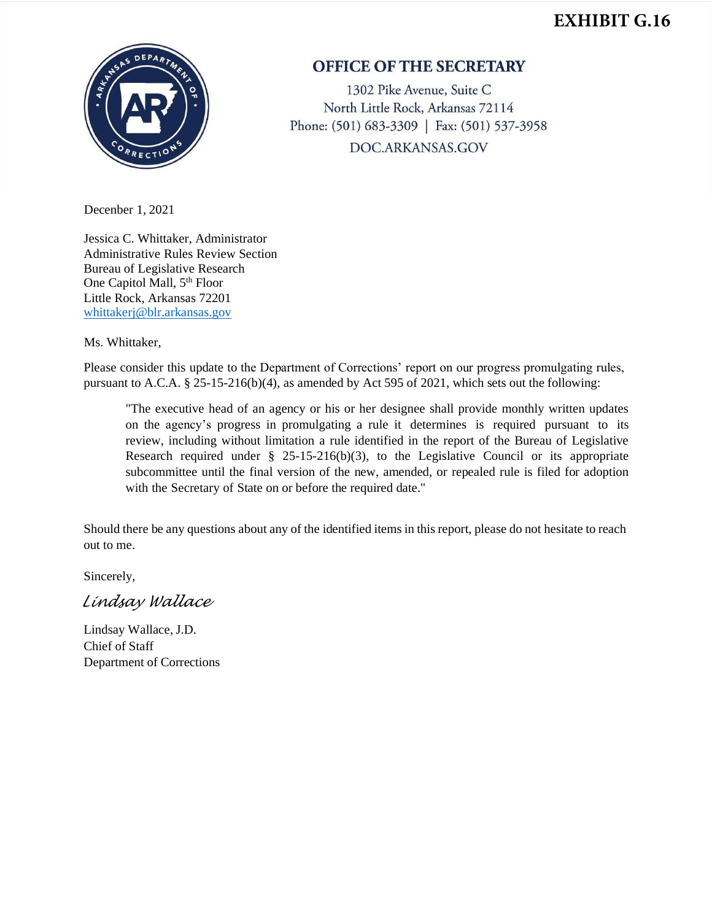## **EXHIBIT G.16**



## **OFFICE OF THE SECRETARY**

1302 Pike Avenue, Suite C North Little Rock, Arkansas 72114 Phone: (501) 683-3309 | Fax: (501) 537-3958 DOC.ARKANSAS.GOV

Decenber 1, 2021

Jessica C. Whittaker, Administrator Administrative Rules Review Section Bureau of Legislative Research One Capitol Mall, 5<sup>th</sup> Floor Little Rock, Arkansas 72201 [whittakerj@blr.arkansas.gov](mailto:whittakerj@blr.arkansas.gov)

Ms. Whittaker,

Please consider this update to the Department of Corrections' report on our progress promulgating rules, pursuant to A.C.A. § 25-15-216(b)(4), as amended by Act 595 of 2021, which sets out the following:

"The executive head of an agency or his or her designee shall provide monthly written updates on the agency's progress in promulgating a rule it determines is required pursuant to its review, including without limitation a rule identified in the report of the Bureau of Legislative Research required under  $\S$  25-15-216(b)(3), to the Legislative Council or its appropriate subcommittee until the final version of the new, amended, or repealed rule is filed for adoption with the Secretary of State on or before the required date."

Should there be any questions about any of the identified items in this report, please do not hesitate to reach out to me.

Sincerely,

*Lindsay Wallace*

Lindsay Wallace, J.D. Chief of Staff Department of Corrections